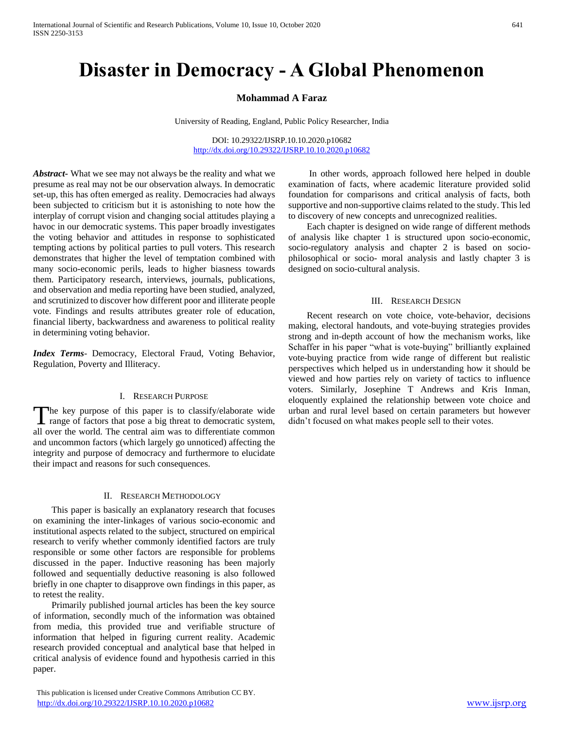# **Disaster in Democracy - A Global Phenomenon**

# **Mohammad A Faraz**

University of Reading, England, Public Policy Researcher, India

DOI: 10.29322/IJSRP.10.10.2020.p10682 <http://dx.doi.org/10.29322/IJSRP.10.10.2020.p10682>

*Abstract***-** What we see may not always be the reality and what we presume as real may not be our observation always. In democratic set-up, this has often emerged as reality. Democracies had always been subjected to criticism but it is astonishing to note how the interplay of corrupt vision and changing social attitudes playing a havoc in our democratic systems. This paper broadly investigates the voting behavior and attitudes in response to sophisticated tempting actions by political parties to pull voters. This research demonstrates that higher the level of temptation combined with many socio-economic perils, leads to higher biasness towards them. Participatory research, interviews, journals, publications, and observation and media reporting have been studied, analyzed, and scrutinized to discover how different poor and illiterate people vote. Findings and results attributes greater role of education, financial liberty, backwardness and awareness to political reality in determining voting behavior.

*Index Terms*- Democracy, Electoral Fraud, Voting Behavior, Regulation, Poverty and Illiteracy.

## I. RESEARCH PURPOSE

he key purpose of this paper is to classify/elaborate wide The key purpose of this paper is to classify/elaborate wide<br>range of factors that pose a big threat to democratic system, didn't focused on what makes people sell to their votes. all over the world. The central aim was to differentiate common and uncommon factors (which largely go unnoticed) affecting the integrity and purpose of democracy and furthermore to elucidate their impact and reasons for such consequences.

### II. RESEARCH METHODOLOGY

 This paper is basically an explanatory research that focuses on examining the inter-linkages of various socio-economic and institutional aspects related to the subject, structured on empirical research to verify whether commonly identified factors are truly responsible or some other factors are responsible for problems discussed in the paper. Inductive reasoning has been majorly followed and sequentially deductive reasoning is also followed briefly in one chapter to disapprove own findings in this paper, as to retest the reality.

 Primarily published journal articles has been the key source of information, secondly much of the information was obtained from media, this provided true and verifiable structure of information that helped in figuring current reality. Academic research provided conceptual and analytical base that helped in critical analysis of evidence found and hypothesis carried in this paper.

 This publication is licensed under Creative Commons Attribution CC BY. <http://dx.doi.org/10.29322/IJSRP.10.10.2020.p10682> [www.ijsrp.org](http://ijsrp.org/)

 In other words, approach followed here helped in double examination of facts, where academic literature provided solid foundation for comparisons and critical analysis of facts, both supportive and non-supportive claims related to the study. This led to discovery of new concepts and unrecognized realities.

 Each chapter is designed on wide range of different methods of analysis like chapter 1 is structured upon socio-economic, socio-regulatory analysis and chapter 2 is based on sociophilosophical or socio- moral analysis and lastly chapter 3 is designed on socio-cultural analysis.

### III. RESEARCH DESIGN

 Recent research on vote choice, vote-behavior, decisions making, electoral handouts, and vote-buying strategies provides strong and in-depth account of how the mechanism works, like Schaffer in his paper "what is vote-buying" brilliantly explained vote-buying practice from wide range of different but realistic perspectives which helped us in understanding how it should be viewed and how parties rely on variety of tactics to influence voters. Similarly, Josephine T Andrews and Kris Inman, eloquently explained the relationship between vote choice and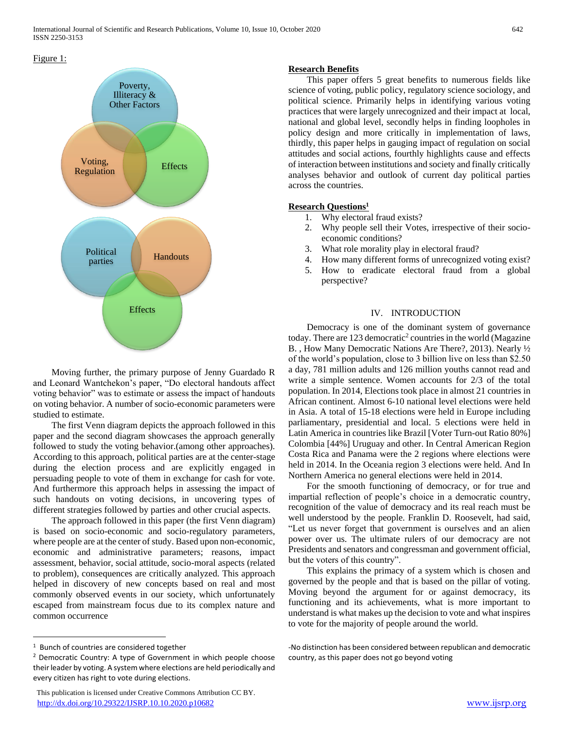

 Moving further, the primary purpose of Jenny Guardado R and Leonard Wantchekon's paper, "Do electoral handouts affect voting behavior" was to estimate or assess the impact of handouts on voting behavior. A number of socio-economic parameters were studied to estimate.

 The first Venn diagram depicts the approach followed in this paper and the second diagram showcases the approach generally followed to study the voting behavior.(among other approaches). According to this approach, political parties are at the center-stage during the election process and are explicitly engaged in persuading people to vote of them in exchange for cash for vote. And furthermore this approach helps in assessing the impact of such handouts on voting decisions, in uncovering types of different strategies followed by parties and other crucial aspects.

 The approach followed in this paper (the first Venn diagram) is based on socio-economic and socio-regulatory parameters, where people are at the center of study. Based upon non-economic, economic and administrative parameters; reasons, impact assessment, behavior, social attitude, socio-moral aspects (related to problem), consequences are critically analyzed. This approach helped in discovery of new concepts based on real and most commonly observed events in our society, which unfortunately escaped from mainstream focus due to its complex nature and common occurrence

 $\overline{a}$ 

# **Research Benefits**

 This paper offers 5 great benefits to numerous fields like science of voting, public policy, regulatory science sociology, and political science. Primarily helps in identifying various voting practices that were largely unrecognized and their impact at local, national and global level, secondly helps in finding loopholes in policy design and more critically in implementation of laws, thirdly, this paper helps in gauging impact of regulation on social attitudes and social actions, fourthly highlights cause and effects of interaction between institutions and society and finally critically analyses behavior and outlook of current day political parties across the countries.

# **Research Questions<sup>1</sup>**

- 1. Why electoral fraud exists?
- 2. Why people sell their Votes, irrespective of their socioeconomic conditions?
- 3. What role morality play in electoral fraud?
- 4. How many different forms of unrecognized voting exist?
- 5. How to eradicate electoral fraud from a global perspective?

# IV. INTRODUCTION

 Democracy is one of the dominant system of governance today. There are  $123$  democratic<sup>2</sup> countries in the world (Magazine B. , How Many Democratic Nations Are There?, 2013). Nearly ½ of the world's population, close to 3 billion live on less than \$2.50 a day, 781 million adults and 126 million youths cannot read and write a simple sentence. Women accounts for 2/3 of the total population. In 2014, Elections took place in almost 21 countries in African continent. Almost 6-10 national level elections were held in Asia. A total of 15-18 elections were held in Europe including parliamentary, presidential and local. 5 elections were held in Latin America in countries like Brazil [Voter Turn-out Ratio 80%] Colombia [44%] Uruguay and other. In Central American Region Costa Rica and Panama were the 2 regions where elections were held in 2014. In the Oceania region 3 elections were held. And In Northern America no general elections were held in 2014.

 For the smooth functioning of democracy, or for true and impartial reflection of people's choice in a democratic country, recognition of the value of democracy and its real reach must be well understood by the people. Franklin D. Roosevelt, had said, "Let us never forget that government is ourselves and an alien power over us. The ultimate rulers of our democracy are not Presidents and senators and congressman and government official, but the voters of this country".

 This explains the primacy of a system which is chosen and governed by the people and that is based on the pillar of voting. Moving beyond the argument for or against democracy, its functioning and its achievements, what is more important to understand is what makes up the decision to vote and what inspires to vote for the majority of people around the world.

<sup>&</sup>lt;sup>1</sup> Bunch of countries are considered together

<sup>2</sup> Democratic Country: A type of Government in which people choose their leader by voting. A system where elections are held periodically and every citizen has right to vote during elections.

<sup>-</sup>No distinction has been considered between republican and democratic country, as this paper does not go beyond voting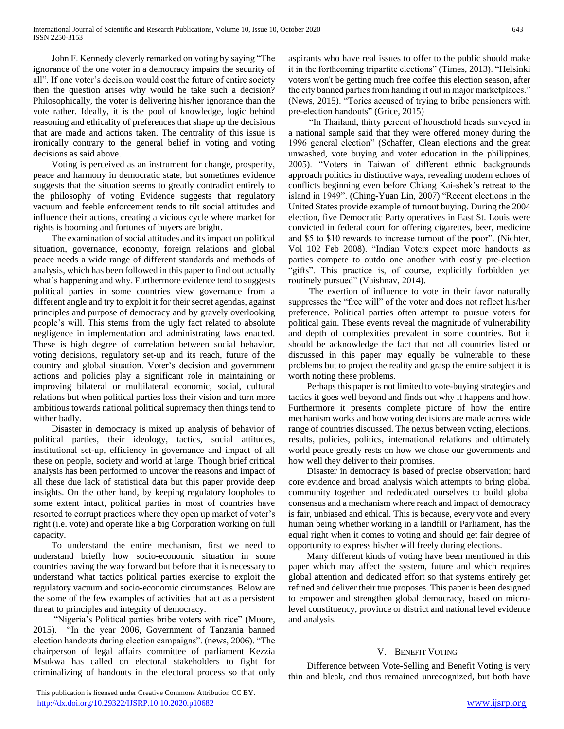John F. Kennedy cleverly remarked on voting by saying "The ignorance of the one voter in a democracy impairs the security of all". If one voter's decision would cost the future of entire society then the question arises why would he take such a decision? Philosophically, the voter is delivering his/her ignorance than the vote rather. Ideally, it is the pool of knowledge, logic behind reasoning and ethicality of preferences that shape up the decisions that are made and actions taken. The centrality of this issue is ironically contrary to the general belief in voting and voting decisions as said above.

 Voting is perceived as an instrument for change, prosperity, peace and harmony in democratic state, but sometimes evidence suggests that the situation seems to greatly contradict entirely to the philosophy of voting Evidence suggests that regulatory vacuum and feeble enforcement tends to tilt social attitudes and influence their actions, creating a vicious cycle where market for rights is booming and fortunes of buyers are bright.

 The examination of social attitudes and its impact on political situation, governance, economy, foreign relations and global peace needs a wide range of different standards and methods of analysis, which has been followed in this paper to find out actually what's happening and why. Furthermore evidence tend to suggests political parties in some countries view governance from a different angle and try to exploit it for their secret agendas, against principles and purpose of democracy and by gravely overlooking people's will. This stems from the ugly fact related to absolute negligence in implementation and administrating laws enacted. These is high degree of correlation between social behavior, voting decisions, regulatory set-up and its reach, future of the country and global situation. Voter's decision and government actions and policies play a significant role in maintaining or improving bilateral or multilateral economic, social, cultural relations but when political parties loss their vision and turn more ambitious towards national political supremacy then things tend to wither badly.

 Disaster in democracy is mixed up analysis of behavior of political parties, their ideology, tactics, social attitudes, institutional set-up, efficiency in governance and impact of all these on people, society and world at large. Though brief critical analysis has been performed to uncover the reasons and impact of all these due lack of statistical data but this paper provide deep insights. On the other hand, by keeping regulatory loopholes to some extent intact, political parties in most of countries have resorted to corrupt practices where they open up market of voter's right (i.e. vote) and operate like a big Corporation working on full capacity.

 To understand the entire mechanism, first we need to understand briefly how socio-economic situation in some countries paving the way forward but before that it is necessary to understand what tactics political parties exercise to exploit the regulatory vacuum and socio-economic circumstances. Below are the some of the few examples of activities that act as a persistent threat to principles and integrity of democracy.

 "Nigeria's Political parties bribe voters with rice" (Moore, 2015). "In the year 2006, Government of Tanzania banned election handouts during election campaigns". (news, 2006). "The chairperson of legal affairs committee of parliament Kezzia Msukwa has called on electoral stakeholders to fight for criminalizing of handouts in the electoral process so that only aspirants who have real issues to offer to the public should make it in the forthcoming tripartite elections" (Times, 2013). "Helsinki voters won't be getting much free coffee this election season, after the city banned parties from handing it out in major marketplaces." (News, 2015). "Tories accused of trying to bribe pensioners with pre-election handouts" (Grice, 2015)

 "In Thailand, thirty percent of household heads surveyed in a national sample said that they were offered money during the 1996 general election" (Schaffer, Clean elections and the great unwashed, vote buying and voter education in the philippines, 2005). "Voters in Taiwan of different ethnic backgrounds approach politics in distinctive ways, revealing modern echoes of conflicts beginning even before Chiang Kai-shek's retreat to the island in 1949". (Ching-Yuan Lin, 2007) "Recent elections in the United States provide example of turnout buying. During the 2004 election, five Democratic Party operatives in East St. Louis were convicted in federal court for offering cigarettes, beer, medicine and \$5 to \$10 rewards to increase turnout of the poor". (Nichter, Vol 102 Feb 2008). "Indian Voters expect more handouts as parties compete to outdo one another with costly pre-election "gifts". This practice is, of course, explicitly forbidden yet routinely pursued" (Vaishnav, 2014).

 The exertion of influence to vote in their favor naturally suppresses the "free will" of the voter and does not reflect his/her preference. Political parties often attempt to pursue voters for political gain. These events reveal the magnitude of vulnerability and depth of complexities prevalent in some countries. But it should be acknowledge the fact that not all countries listed or discussed in this paper may equally be vulnerable to these problems but to project the reality and grasp the entire subject it is worth noting these problems.

 Perhaps this paper is not limited to vote-buying strategies and tactics it goes well beyond and finds out why it happens and how. Furthermore it presents complete picture of how the entire mechanism works and how voting decisions are made across wide range of countries discussed. The nexus between voting, elections, results, policies, politics, international relations and ultimately world peace greatly rests on how we chose our governments and how well they deliver to their promises.

 Disaster in democracy is based of precise observation; hard core evidence and broad analysis which attempts to bring global community together and rededicated ourselves to build global consensus and a mechanism where reach and impact of democracy is fair, unbiased and ethical. This is because, every vote and every human being whether working in a landfill or Parliament, has the equal right when it comes to voting and should get fair degree of opportunity to express his/her will freely during elections.

 Many different kinds of voting have been mentioned in this paper which may affect the system, future and which requires global attention and dedicated effort so that systems entirely get refined and deliver their true proposes. This paper is been designed to empower and strengthen global democracy, based on microlevel constituency, province or district and national level evidence and analysis.

# V. BENEFIT VOTING

 Difference between Vote-Selling and Benefit Voting is very thin and bleak, and thus remained unrecognized, but both have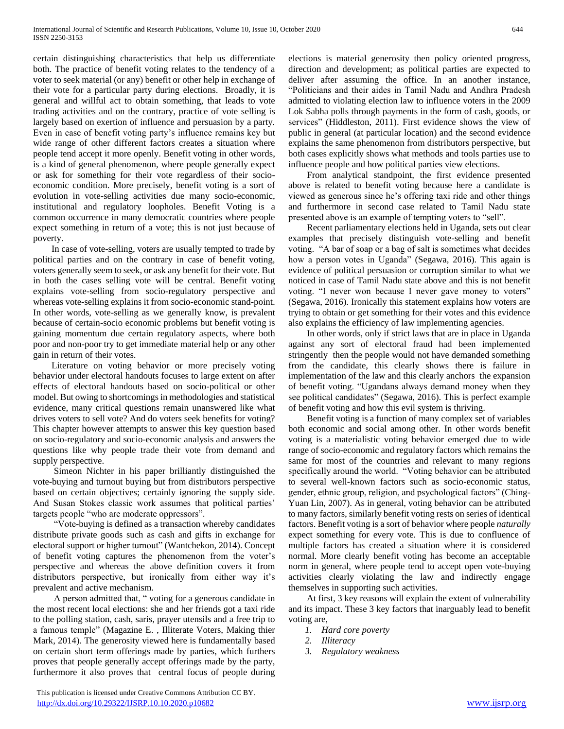certain distinguishing characteristics that help us differentiate both. The practice of benefit voting relates to the tendency of a voter to seek material (or any) benefit or other help in exchange of their vote for a particular party during elections. Broadly, it is general and willful act to obtain something, that leads to vote trading activities and on the contrary, practice of vote selling is largely based on exertion of influence and persuasion by a party. Even in case of benefit voting party's influence remains key but wide range of other different factors creates a situation where people tend accept it more openly. Benefit voting in other words, is a kind of general phenomenon, where people generally expect or ask for something for their vote regardless of their socioeconomic condition. More precisely, benefit voting is a sort of evolution in vote-selling activities due many socio-economic, institutional and regulatory loopholes. Benefit Voting is a common occurrence in many democratic countries where people expect something in return of a vote; this is not just because of poverty.

 In case of vote-selling, voters are usually tempted to trade by political parties and on the contrary in case of benefit voting, voters generally seem to seek, or ask any benefit for their vote. But in both the cases selling vote will be central. Benefit voting explains vote-selling from socio-regulatory perspective and whereas vote-selling explains it from socio-economic stand-point. In other words, vote-selling as we generally know, is prevalent because of certain-socio economic problems but benefit voting is gaining momentum due certain regulatory aspects, where both poor and non-poor try to get immediate material help or any other gain in return of their votes.

 Literature on voting behavior or more precisely voting behavior under electoral handouts focuses to large extent on after effects of electoral handouts based on socio-political or other model. But owing to shortcomings in methodologies and statistical evidence, many critical questions remain unanswered like what drives voters to sell vote? And do voters seek benefits for voting? This chapter however attempts to answer this key question based on socio-regulatory and socio-economic analysis and answers the questions like why people trade their vote from demand and supply perspective.

 Simeon Nichter in his paper brilliantly distinguished the vote-buying and turnout buying but from distributors perspective based on certain objectives; certainly ignoring the supply side. And Susan Stokes classic work assumes that political parties' targets people "who are moderate oppressors".

 "Vote-buying is defined as a transaction whereby candidates distribute private goods such as cash and gifts in exchange for electoral support or higher turnout" (Wantchekon, 2014). Concept of benefit voting captures the phenomenon from the voter's perspective and whereas the above definition covers it from distributors perspective, but ironically from either way it's prevalent and active mechanism.

 A person admitted that, " voting for a generous candidate in the most recent local elections: she and her friends got a taxi ride to the polling station, cash, saris, prayer utensils and a free trip to a famous temple" (Magazine E. , Illiterate Voters, Making thier Mark, 2014). The generosity viewed here is fundamentally based on certain short term offerings made by parties, which furthers proves that people generally accept offerings made by the party, furthermore it also proves that central focus of people during elections is material generosity then policy oriented progress, direction and development; as political parties are expected to deliver after assuming the office. In an another instance, "Politicians and their aides in Tamil Nadu and Andhra Pradesh admitted to violating election law to influence voters in the 2009 Lok Sabha polls through payments in the form of cash, goods, or services" (Hiddleston, 2011). First evidence shows the view of public in general (at particular location) and the second evidence explains the same phenomenon from distributors perspective, but both cases explicitly shows what methods and tools parties use to influence people and how political parties view elections.

 From analytical standpoint, the first evidence presented above is related to benefit voting because here a candidate is viewed as generous since he's offering taxi ride and other things and furthermore in second case related to Tamil Nadu state presented above is an example of tempting voters to "sell".

 Recent parliamentary elections held in Uganda, sets out clear examples that precisely distinguish vote-selling and benefit voting. "A bar of soap or a bag of salt is sometimes what decides how a person votes in Uganda" (Segawa, 2016). This again is evidence of political persuasion or corruption similar to what we noticed in case of Tamil Nadu state above and this is not benefit voting. "I never won because I never gave money to voters" (Segawa, 2016). Ironically this statement explains how voters are trying to obtain or get something for their votes and this evidence also explains the efficiency of law implementing agencies.

 In other words, only if strict laws that are in place in Uganda against any sort of electoral fraud had been implemented stringently then the people would not have demanded something from the candidate, this clearly shows there is failure in implementation of the law and this clearly anchors the expansion of benefit voting. "Ugandans always demand money when they see political candidates" (Segawa, 2016). This is perfect example of benefit voting and how this evil system is thriving.

 Benefit voting is a function of many complex set of variables both economic and social among other. In other words benefit voting is a materialistic voting behavior emerged due to wide range of socio-economic and regulatory factors which remains the same for most of the countries and relevant to many regions specifically around the world. "Voting behavior can be attributed to several well-known factors such as socio-economic status, gender, ethnic group, religion, and psychological factors" (Ching-Yuan Lin, 2007). As in general, voting behavior can be attributed to many factors, similarly benefit voting rests on series of identical factors. Benefit voting is a sort of behavior where people *naturally*  expect something for every vote. This is due to confluence of multiple factors has created a situation where it is considered normal. More clearly benefit voting has become an acceptable norm in general, where people tend to accept open vote-buying activities clearly violating the law and indirectly engage themselves in supporting such activities.

 At first, 3 key reasons will explain the extent of vulnerability and its impact. These 3 key factors that inarguably lead to benefit voting are,

- *1. Hard core poverty*
- *2. Illiteracy*
- *3. Regulatory weakness*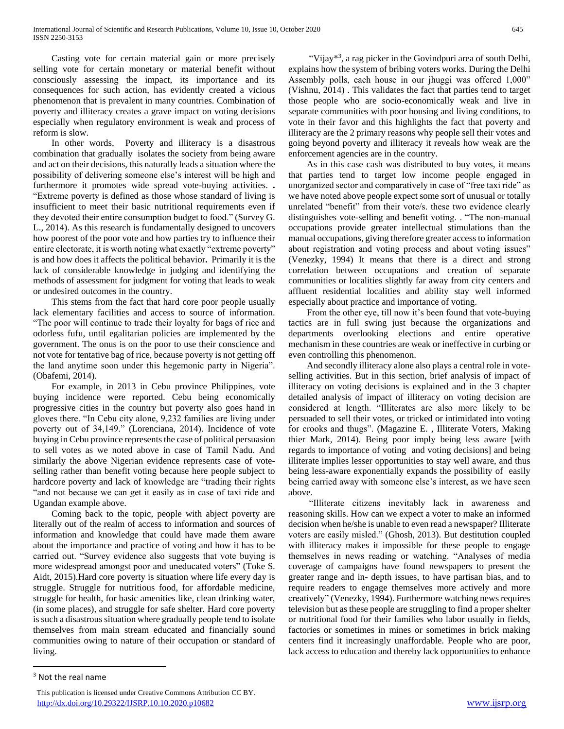Casting vote for certain material gain or more precisely selling vote for certain monetary or material benefit without consciously assessing the impact, its importance and its consequences for such action, has evidently created a vicious phenomenon that is prevalent in many countries. Combination of poverty and illiteracy creates a grave impact on voting decisions especially when regulatory environment is weak and process of reform is slow.

 In other words, Poverty and illiteracy is a disastrous combination that gradually isolates the society from being aware and act on their decisions, this naturally leads a situation where the possibility of delivering someone else's interest will be high and furthermore it promotes wide spread vote-buying activities. **.**  "Extreme poverty is defined as those whose standard of living is insufficient to meet their basic nutritional requirements even if they devoted their entire consumption budget to food." (Survey G. L., 2014). As this research is fundamentally designed to uncovers how poorest of the poor vote and how parties try to influence their entire electorate, it is worth noting what exactly "extreme poverty" is and how does it affects the political behavior**.** Primarily it is the lack of considerable knowledge in judging and identifying the methods of assessment for judgment for voting that leads to weak or undesired outcomes in the country.

 This stems from the fact that hard core poor people usually lack elementary facilities and access to source of information. "The poor will continue to trade their loyalty for bags of rice and odorless fufu, until egalitarian policies are implemented by the government. The onus is on the poor to use their conscience and not vote for tentative bag of rice, because poverty is not getting off the land anytime soon under this hegemonic party in Nigeria". (Obafemi, 2014).

 For example, in 2013 in Cebu province Philippines, vote buying incidence were reported. Cebu being economically progressive cities in the country but poverty also goes hand in gloves there. "In Cebu city alone, 9,232 families are living under poverty out of 34,149." (Lorenciana, 2014). Incidence of vote buying in Cebu province represents the case of political persuasion to sell votes as we noted above in case of Tamil Nadu. And similarly the above Nigerian evidence represents case of voteselling rather than benefit voting because here people subject to hardcore poverty and lack of knowledge are "trading their rights "and not because we can get it easily as in case of taxi ride and Ugandan example above.

 Coming back to the topic, people with abject poverty are literally out of the realm of access to information and sources of information and knowledge that could have made them aware about the importance and practice of voting and how it has to be carried out. "Survey evidence also suggests that vote buying is more widespread amongst poor and uneducated voters" (Toke S. Aidt, 2015).Hard core poverty is situation where life every day is struggle. Struggle for nutritious food, for affordable medicine, struggle for health, for basic amenities like, clean drinking water, (in some places), and struggle for safe shelter. Hard core poverty is such a disastrous situation where gradually people tend to isolate themselves from main stream educated and financially sound communities owing to nature of their occupation or standard of living.

"Vijay\*<sup>3</sup>, a rag picker in the Govindpuri area of south Delhi, explains how the system of bribing voters works. During the Delhi Assembly polls, each house in our jhuggi was offered 1,000" (Vishnu, 2014) . This validates the fact that parties tend to target those people who are socio-economically weak and live in separate communities with poor housing and living conditions, to vote in their favor and this highlights the fact that poverty and illiteracy are the 2 primary reasons why people sell their votes and going beyond poverty and illiteracy it reveals how weak are the enforcement agencies are in the country.

 As in this case cash was distributed to buy votes, it means that parties tend to target low income people engaged in unorganized sector and comparatively in case of "free taxi ride" as we have noted above people expect some sort of unusual or totally unrelated "benefit" from their vote/s. these two evidence clearly distinguishes vote-selling and benefit voting. . "The non-manual occupations provide greater intellectual stimulations than the manual occupations, giving therefore greater access to information about registration and voting process and about voting issues" (Venezky, 1994) It means that there is a direct and strong correlation between occupations and creation of separate communities or localities slightly far away from city centers and affluent residential localities and ability stay well informed especially about practice and importance of voting.

 From the other eye, till now it's been found that vote-buying tactics are in full swing just because the organizations and departments overlooking elections and entire operative mechanism in these countries are weak or ineffective in curbing or even controlling this phenomenon.

 And secondly illiteracy alone also plays a central role in voteselling activities. But in this section, brief analysis of impact of illiteracy on voting decisions is explained and in the 3 chapter detailed analysis of impact of illiteracy on voting decision are considered at length. "Illiterates are also more likely to be persuaded to sell their votes, or tricked or intimidated into voting for crooks and thugs". (Magazine E. , Illiterate Voters, Making thier Mark, 2014). Being poor imply being less aware [with regards to importance of voting and voting decisions] and being illiterate implies lesser opportunities to stay well aware, and thus being less-aware exponentially expands the possibility of easily being carried away with someone else's interest, as we have seen above.

 "Illiterate citizens inevitably lack in awareness and reasoning skills. How can we expect a voter to make an informed decision when he/she is unable to even read a newspaper? Illiterate voters are easily misled." (Ghosh, 2013). But destitution coupled with illiteracy makes it impossible for these people to engage themselves in news reading or watching. "Analyses of media coverage of campaigns have found newspapers to present the greater range and in- depth issues, to have partisan bias, and to require readers to engage themselves more actively and more creatively" (Venezky, 1994). Furthermore watching news requires television but as these people are struggling to find a proper shelter or nutritional food for their families who labor usually in fields, factories or sometimes in mines or sometimes in brick making centers find it increasingly unaffordable. People who are poor, lack access to education and thereby lack opportunities to enhance

 $\overline{a}$ 

 $3$  Not the real name

This publication is licensed under Creative Commons Attribution CC BY. <http://dx.doi.org/10.29322/IJSRP.10.10.2020.p10682> [www.ijsrp.org](http://ijsrp.org/)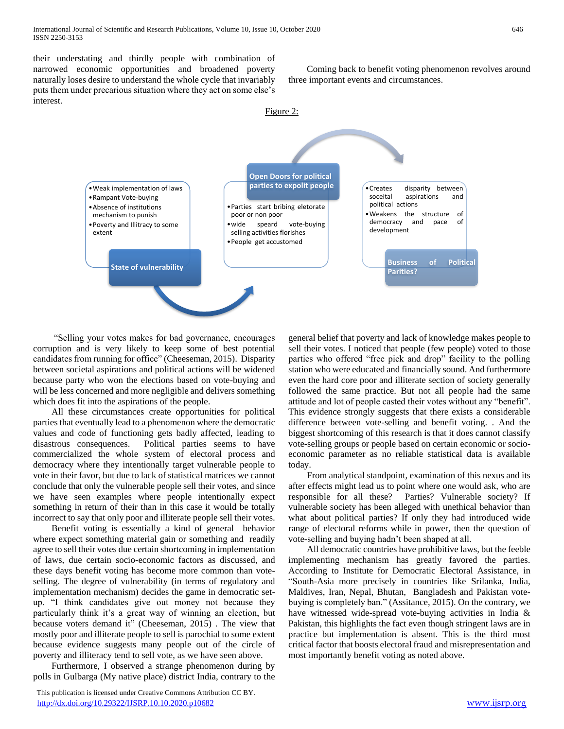their understating and thirdly people with combination of narrowed economic opportunities and broadened poverty naturally loses desire to understand the whole cycle that invariably puts them under precarious situation where they act on some else's interest.

 Coming back to benefit voting phenomenon revolves around three important events and circumstances.



 "Selling your votes makes for bad governance, encourages corruption and is very likely to keep some of best potential candidates from running for office" (Cheeseman, 2015). Disparity between societal aspirations and political actions will be widened because party who won the elections based on vote-buying and will be less concerned and more negligible and delivers something which does fit into the aspirations of the people.

 All these circumstances create opportunities for political parties that eventually lead to a phenomenon where the democratic values and code of functioning gets badly affected, leading to disastrous consequences. Political parties seems to have commercialized the whole system of electoral process and democracy where they intentionally target vulnerable people to vote in their favor, but due to lack of statistical matrices we cannot conclude that only the vulnerable people sell their votes, and since we have seen examples where people intentionally expect something in return of their than in this case it would be totally incorrect to say that only poor and illiterate people sell their votes.

 Benefit voting is essentially a kind of general behavior where expect something material gain or something and readily agree to sell their votes due certain shortcoming in implementation of laws, due certain socio-economic factors as discussed, and these days benefit voting has become more common than voteselling. The degree of vulnerability (in terms of regulatory and implementation mechanism) decides the game in democratic setup. "I think candidates give out money not because they particularly think it's a great way of winning an election, but because voters demand it" (Cheeseman, 2015) . The view that mostly poor and illiterate people to sell is parochial to some extent because evidence suggests many people out of the circle of poverty and illiteracy tend to sell vote, as we have seen above.

 Furthermore, I observed a strange phenomenon during by polls in Gulbarga (My native place) district India, contrary to the

 This publication is licensed under Creative Commons Attribution CC BY. <http://dx.doi.org/10.29322/IJSRP.10.10.2020.p10682> [www.ijsrp.org](http://ijsrp.org/)

general belief that poverty and lack of knowledge makes people to sell their votes. I noticed that people (few people) voted to those parties who offered "free pick and drop" facility to the polling station who were educated and financially sound. And furthermore even the hard core poor and illiterate section of society generally followed the same practice. But not all people had the same attitude and lot of people casted their votes without any "benefit". This evidence strongly suggests that there exists a considerable difference between vote-selling and benefit voting. . And the biggest shortcoming of this research is that it does cannot classify vote-selling groups or people based on certain economic or socioeconomic parameter as no reliable statistical data is available today.

 From analytical standpoint, examination of this nexus and its after effects might lead us to point where one would ask, who are responsible for all these? Parties? Vulnerable society? If vulnerable society has been alleged with unethical behavior than what about political parties? If only they had introduced wide range of electoral reforms while in power, then the question of vote-selling and buying hadn't been shaped at all.

 All democratic countries have prohibitive laws, but the feeble implementing mechanism has greatly favored the parties. According to Institute for Democratic Electoral Assistance, in "South-Asia more precisely in countries like Srilanka, India, Maldives, Iran, Nepal, Bhutan, Bangladesh and Pakistan votebuying is completely ban." (Assitance, 2015). On the contrary, we have witnessed wide-spread vote-buying activities in India & Pakistan, this highlights the fact even though stringent laws are in practice but implementation is absent. This is the third most critical factor that boosts electoral fraud and misrepresentation and most importantly benefit voting as noted above.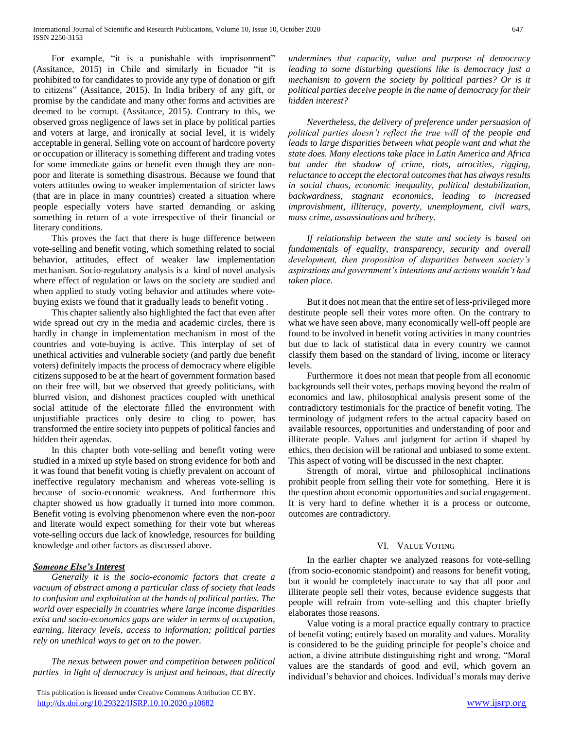For example, "it is a punishable with imprisonment" (Assitance, 2015) in Chile and similarly in Ecuador "it is prohibited to for candidates to provide any type of donation or gift to citizens" (Assitance, 2015). In India bribery of any gift, or promise by the candidate and many other forms and activities are deemed to be corrupt. (Assitance, 2015). Contrary to this, we observed gross negligence of laws set in place by political parties and voters at large, and ironically at social level, it is widely acceptable in general. Selling vote on account of hardcore poverty or occupation or illiteracy is something different and trading votes for some immediate gains or benefit even though they are nonpoor and literate is something disastrous. Because we found that voters attitudes owing to weaker implementation of stricter laws (that are in place in many countries) created a situation where people especially voters have started demanding or asking something in return of a vote irrespective of their financial or literary conditions.

 This proves the fact that there is huge difference between vote-selling and benefit voting, which something related to social behavior, attitudes, effect of weaker law implementation mechanism. Socio-regulatory analysis is a kind of novel analysis where effect of regulation or laws on the society are studied and when applied to study voting behavior and attitudes where votebuying exists we found that it gradually leads to benefit voting .

 This chapter saliently also highlighted the fact that even after wide spread out cry in the media and academic circles, there is hardly in change in implementation mechanism in most of the countries and vote-buying is active. This interplay of set of unethical activities and vulnerable society (and partly due benefit voters) definitely impacts the process of democracy where eligible citizens supposed to be at the heart of government formation based on their free will, but we observed that greedy politicians, with blurred vision, and dishonest practices coupled with unethical social attitude of the electorate filled the environment with unjustifiable practices only desire to cling to power, has transformed the entire society into puppets of political fancies and hidden their agendas.

 In this chapter both vote-selling and benefit voting were studied in a mixed up style based on strong evidence for both and it was found that benefit voting is chiefly prevalent on account of ineffective regulatory mechanism and whereas vote-selling is because of socio-economic weakness. And furthermore this chapter showed us how gradually it turned into more common. Benefit voting is evolving phenomenon where even the non-poor and literate would expect something for their vote but whereas vote-selling occurs due lack of knowledge, resources for building knowledge and other factors as discussed above.

# *Someone Else's Interest*

 *Generally it is the socio-economic factors that create a vacuum of abstract among a particular class of society that leads to confusion and exploitation at the hands of political parties. The world over especially in countries where large income disparities exist and socio-economics gaps are wider in terms of occupation, earning, literacy levels, access to information; political parties rely on unethical ways to get on to the power.* 

 *The nexus between power and competition between political parties in light of democracy is unjust and heinous, that directly* 

*undermines that capacity, value and purpose of democracy leading to some disturbing questions like is democracy just a mechanism to govern the society by political parties? Or is it political parties deceive people in the name of democracy for their hidden interest?*

 *Nevertheless, the delivery of preference under persuasion of political parties doesn't reflect the true will of the people and leads to large disparities between what people want and what the state does. Many elections take place in Latin America and Africa but under the shadow of crime, riots, atrocities, rigging, reluctance to accept the electoral outcomes that has always results in social chaos, economic inequality, political destabilization, backwardness, stagnant economics, leading to increased improvishment, illiteracy, poverty, unemployment, civil wars, mass crime, assassinations and bribery.* 

 *If relationship between the state and society is based on fundamentals of equality, transparency, security and overall development, then proposition of disparities between society's aspirations and government's intentions and actions wouldn't had taken place.* 

 But it does not mean that the entire set of less-privileged more destitute people sell their votes more often. On the contrary to what we have seen above, many economically well-off people are found to be involved in benefit voting activities in many countries but due to lack of statistical data in every country we cannot classify them based on the standard of living, income or literacy levels.

 Furthermore it does not mean that people from all economic backgrounds sell their votes, perhaps moving beyond the realm of economics and law, philosophical analysis present some of the contradictory testimonials for the practice of benefit voting. The terminology of judgment refers to the actual capacity based on available resources, opportunities and understanding of poor and illiterate people. Values and judgment for action if shaped by ethics, then decision will be rational and unbiased to some extent. This aspect of voting will be discussed in the next chapter.

 Strength of moral, virtue and philosophical inclinations prohibit people from selling their vote for something. Here it is the question about economic opportunities and social engagement. It is very hard to define whether it is a process or outcome, outcomes are contradictory.

## VI. VALUE VOTING

 In the earlier chapter we analyzed reasons for vote-selling (from socio-economic standpoint) and reasons for benefit voting, but it would be completely inaccurate to say that all poor and illiterate people sell their votes, because evidence suggests that people will refrain from vote-selling and this chapter briefly elaborates those reasons.

 Value voting is a moral practice equally contrary to practice of benefit voting; entirely based on morality and values. Morality is considered to be the guiding principle for people's choice and action, a divine attribute distinguishing right and wrong. "Moral values are the standards of good and evil, which govern an individual's behavior and choices. Individual's morals may derive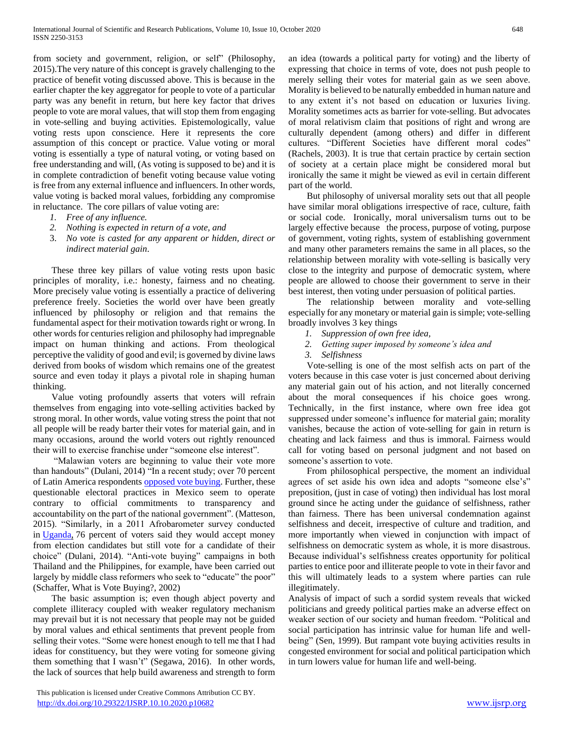from society and government, religion, or self" (Philosophy, 2015).The very nature of this concept is gravely challenging to the practice of benefit voting discussed above. This is because in the earlier chapter the key aggregator for people to vote of a particular party was any benefit in return, but here key factor that drives people to vote are moral values, that will stop them from engaging in vote-selling and buying activities. Epistemologically, value voting rests upon conscience. Here it represents the core assumption of this concept or practice. Value voting or moral voting is essentially a type of natural voting, or voting based on free understanding and will, (As voting is supposed to be) and it is in complete contradiction of benefit voting because value voting is free from any external influence and influencers. In other words, value voting is backed moral values, forbidding any compromise in reluctance. The core pillars of value voting are:

- *1. Free of any influence.*
- *2. Nothing is expected in return of a vote, and*
- 3. *No vote is casted for any apparent or hidden, direct or indirect material gain*.

 These three key pillars of value voting rests upon basic principles of morality, i.e.: honesty, fairness and no cheating. More precisely value voting is essentially a practice of delivering preference freely. Societies the world over have been greatly influenced by philosophy or religion and that remains the fundamental aspect for their motivation towards right or wrong. In other words for centuries religion and philosophy had impregnable impact on human thinking and actions. From theological perceptive the validity of good and evil; is governed by divine laws derived from books of wisdom which remains one of the greatest source and even today it plays a pivotal role in shaping human thinking.

 Value voting profoundly asserts that voters will refrain themselves from engaging into vote-selling activities backed by strong moral. In other words, value voting stress the point that not all people will be ready barter their votes for material gain, and in many occasions, around the world voters out rightly renounced their will to exercise franchise under "someone else interest".

 "Malawian voters are beginning to value their vote more than handouts" (Dulani, 2014) "In a recent study; over 70 percent of Latin America respondents [opposed vote buying.](http://ajps.org/2014/10/09/who-stigmatizes-vote-buying/) Further, these questionable electoral practices in Mexico seem to operate contrary to official commitments to transparency and accountability on the part of the national government". (Matteson, 2015). "Similarly, in a 2011 Afrobarometer survey conducted in [Uganda,](http://www.afrobarometer.org/files/documents/summary_results/uga_r4.5.2_sor.pdf) 76 percent of voters said they would accept money from election candidates but still vote for a candidate of their choice" (Dulani, 2014). "Anti-vote buying" campaigns in both Thailand and the Philippines, for example, have been carried out largely by middle class reformers who seek to "educate" the poor" (Schaffer, What is Vote Buying?, 2002)

 The basic assumption is; even though abject poverty and complete illiteracy coupled with weaker regulatory mechanism may prevail but it is not necessary that people may not be guided by moral values and ethical sentiments that prevent people from selling their votes. "Some were honest enough to tell me that I had ideas for constituency, but they were voting for someone giving them something that I wasn't" (Segawa, 2016). In other words, the lack of sources that help build awareness and strength to form an idea (towards a political party for voting) and the liberty of expressing that choice in terms of vote, does not push people to merely selling their votes for material gain as we seen above. Morality is believed to be naturally embedded in human nature and to any extent it's not based on education or luxuries living. Morality sometimes acts as barrier for vote-selling. But advocates of moral relativism claim that positions of right and wrong are culturally dependent (among others) and differ in different cultures. "Different Societies have different moral codes" (Rachels, 2003). It is true that certain practice by certain section of society at a certain place might be considered moral but ironically the same it might be viewed as evil in certain different part of the world.

 But philosophy of universal morality sets out that all people have similar moral obligations irrespective of race, culture, faith or social code. Ironically, moral universalism turns out to be largely effective because the process, purpose of voting, purpose of government, voting rights, system of establishing government and many other parameters remains the same in all places, so the relationship between morality with vote-selling is basically very close to the integrity and purpose of democratic system, where people are allowed to choose their government to serve in their best interest, then voting under persuasion of political parties.

 The relationship between morality and vote-selling especially for any monetary or material gain is simple; vote-selling broadly involves 3 key things

- *1. Suppression of own free idea,*
- *2. Getting super imposed by someone's idea and*
- *3. Selfishness*

 Vote-selling is one of the most selfish acts on part of the voters because in this case voter is just concerned about deriving any material gain out of his action, and not literally concerned about the moral consequences if his choice goes wrong. Technically, in the first instance, where own free idea got suppressed under someone's influence for material gain; morality vanishes, because the action of vote-selling for gain in return is cheating and lack fairness and thus is immoral. Fairness would call for voting based on personal judgment and not based on someone's assertion to vote.

 From philosophical perspective, the moment an individual agrees of set aside his own idea and adopts "someone else's" preposition, (just in case of voting) then individual has lost moral ground since he acting under the guidance of selfishness, rather than fairness. There has been universal condemnation against selfishness and deceit, irrespective of culture and tradition, and more importantly when viewed in conjunction with impact of selfishness on democratic system as whole, it is more disastrous. Because individual's selfishness creates opportunity for political parties to entice poor and illiterate people to vote in their favor and this will ultimately leads to a system where parties can rule illegitimately.

Analysis of impact of such a sordid system reveals that wicked politicians and greedy political parties make an adverse effect on weaker section of our society and human freedom. "Political and social participation has intrinsic value for human life and wellbeing" (Sen, 1999). But rampant vote buying activities results in congested environment for social and political participation which in turn lowers value for human life and well-being.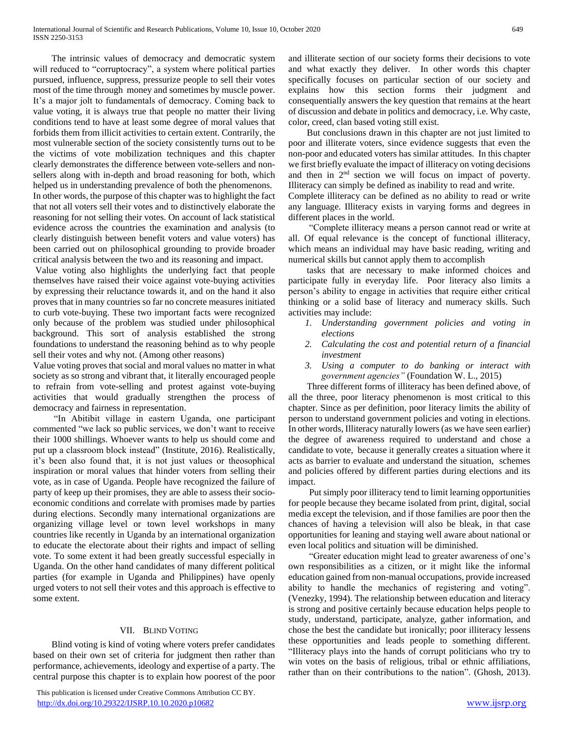The intrinsic values of democracy and democratic system will reduced to "corruptocracy", a system where political parties pursued, influence, suppress, pressurize people to sell their votes most of the time through money and sometimes by muscle power. It's a major jolt to fundamentals of democracy. Coming back to value voting, it is always true that people no matter their living conditions tend to have at least some degree of moral values that forbids them from illicit activities to certain extent. Contrarily, the most vulnerable section of the society consistently turns out to be the victims of vote mobilization techniques and this chapter clearly demonstrates the difference between vote-sellers and nonsellers along with in-depth and broad reasoning for both, which helped us in understanding prevalence of both the phenomenons. In other words, the purpose of this chapter was to highlight the fact that not all voters sell their votes and to distinctively elaborate the reasoning for not selling their votes. On account of lack statistical evidence across the countries the examination and analysis (to clearly distinguish between benefit voters and value voters) has been carried out on philosophical grounding to provide broader critical analysis between the two and its reasoning and impact.

Value voting also highlights the underlying fact that people themselves have raised their voice against vote-buying activities by expressing their reluctance towards it, and on the hand it also proves that in many countries so far no concrete measures initiated to curb vote-buying. These two important facts were recognized only because of the problem was studied under philosophical background. This sort of analysis established the strong foundations to understand the reasoning behind as to why people sell their votes and why not. (Among other reasons)

Value voting proves that social and moral values no matter in what society as so strong and vibrant that, it literally encouraged people to refrain from vote-selling and protest against vote-buying activities that would gradually strengthen the process of democracy and fairness in representation.

 "In Abitibit village in eastern Uganda, one participant commented "we lack so public services, we don't want to receive their 1000 shillings. Whoever wants to help us should come and put up a classroom block instead" (Institute, 2016). Realistically, it's been also found that, it is not just values or theosophical inspiration or moral values that hinder voters from selling their vote, as in case of Uganda. People have recognized the failure of party of keep up their promises, they are able to assess their socioeconomic conditions and correlate with promises made by parties during elections. Secondly many international organizations are organizing village level or town level workshops in many countries like recently in Uganda by an international organization to educate the electorate about their rights and impact of selling vote. To some extent it had been greatly successful especially in Uganda. On the other hand candidates of many different political parties (for example in Uganda and Philippines) have openly urged voters to not sell their votes and this approach is effective to some extent.

# VII. BLIND VOTING

 Blind voting is kind of voting where voters prefer candidates based on their own set of criteria for judgment then rather than performance, achievements, ideology and expertise of a party. The central purpose this chapter is to explain how poorest of the poor

 This publication is licensed under Creative Commons Attribution CC BY. <http://dx.doi.org/10.29322/IJSRP.10.10.2020.p10682> [www.ijsrp.org](http://ijsrp.org/)

and illiterate section of our society forms their decisions to vote and what exactly they deliver. In other words this chapter specifically focuses on particular section of our society and explains how this section forms their judgment and consequentially answers the key question that remains at the heart of discussion and debate in politics and democracy, i.e. Why caste, color, creed, clan based voting still exist.

 But conclusions drawn in this chapter are not just limited to poor and illiterate voters, since evidence suggests that even the non-poor and educated voters has similar attitudes. In this chapter we first briefly evaluate the impact of illiteracy on voting decisions and then in 2nd section we will focus on impact of poverty. Illiteracy can simply be defined as inability to read and write.

Complete illiteracy can be defined as no ability to read or write any language. Illiteracy exists in varying forms and degrees in different places in the world.

 "Complete illiteracy means a person cannot read or write at all. Of equal relevance is the concept of functional illiteracy, which means an individual may have basic reading, writing and numerical skills but cannot apply them to accomplish

 tasks that are necessary to make informed choices and participate fully in everyday life. Poor literacy also limits a person's ability to engage in activities that require either critical thinking or a solid base of literacy and numeracy skills. Such activities may include:

- *1. Understanding government policies and voting in elections*
- *2. Calculating the cost and potential return of a financial investment*
- *3. Using a computer to do banking or interact with government agencies"* (Foundation W. L., 2015)

 Three different forms of illiteracy has been defined above, of all the three, poor literacy phenomenon is most critical to this chapter. Since as per definition, poor literacy limits the ability of person to understand government policies and voting in elections. In other words, Illiteracy naturally lowers (as we have seen earlier) the degree of awareness required to understand and chose a candidate to vote, because it generally creates a situation where it acts as barrier to evaluate and understand the situation, schemes and policies offered by different parties during elections and its impact.

 Put simply poor illiteracy tend to limit learning opportunities for people because they became isolated from print, digital, social media except the television, and if those families are poor then the chances of having a television will also be bleak, in that case opportunities for leaning and staying well aware about national or even local politics and situation will be diminished.

 "Greater education might lead to greater awareness of one's own responsibilities as a citizen, or it might like the informal education gained from non-manual occupations, provide increased ability to handle the mechanics of registering and voting". (Venezky, 1994). The relationship between education and literacy is strong and positive certainly because education helps people to study, understand, participate, analyze, gather information, and chose the best the candidate but ironically; poor illiteracy lessens these opportunities and leads people to something different. "Illiteracy plays into the hands of corrupt politicians who try to win votes on the basis of religious, tribal or ethnic affiliations, rather than on their contributions to the nation". (Ghosh, 2013).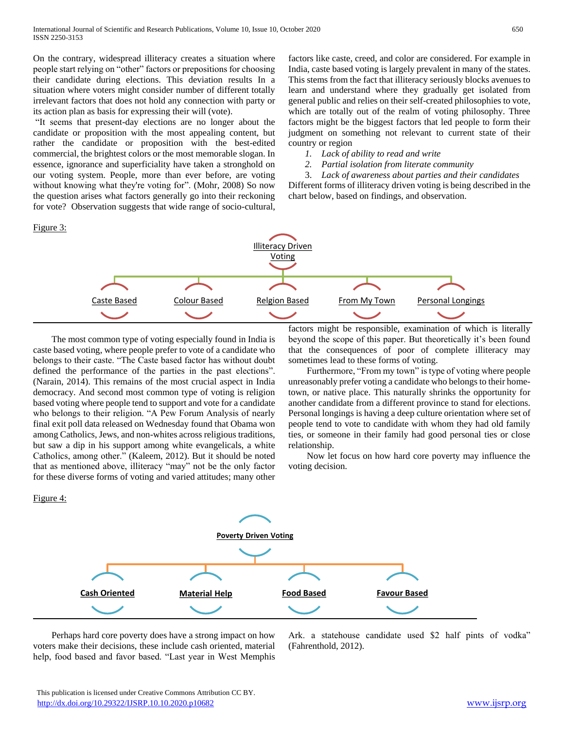On the contrary, widespread illiteracy creates a situation where people start relying on "other" factors or prepositions for choosing their candidate during elections. This deviation results In a situation where voters might consider number of different totally irrelevant factors that does not hold any connection with party or its action plan as basis for expressing their will (vote).

"It seems that present-day elections are no longer about the candidate or proposition with the most appealing content, but rather the candidate or proposition with the best-edited commercial, the brightest colors or the most memorable slogan. In essence, ignorance and superficiality have taken a stronghold on our voting system. People, more than ever before, are voting without knowing what they're voting for". (Mohr, 2008) So now the question arises what factors generally go into their reckoning for vote? Observation suggests that wide range of socio-cultural,

factors like caste, creed, and color are considered. For example in India, caste based voting is largely prevalent in many of the states. This stems from the fact that illiteracy seriously blocks avenues to learn and understand where they gradually get isolated from general public and relies on their self-created philosophies to vote, which are totally out of the realm of voting philosophy. Three factors might be the biggest factors that led people to form their judgment on something not relevant to current state of their country or region

- *1. Lack of ability to read and write*
- *2. Partial isolation from literate community*

3. *Lack of awareness about parties and their candidates* Different forms of illiteracy driven voting is being described in the chart below, based on findings, and observation.



 The most common type of voting especially found in India is caste based voting, where people prefer to vote of a candidate who belongs to their caste. "The Caste based factor has without doubt defined the performance of the parties in the past elections". (Narain, 2014). This remains of the most crucial aspect in India democracy. And second most common type of voting is religion based voting where people tend to support and vote for a candidate who belongs to their religion. "A Pew Forum Analysis of nearly final exit poll data released on Wednesday found that Obama won among Catholics, Jews, and non-whites across religious traditions, but saw a dip in his support among white evangelicals, a white Catholics, among other." (Kaleem, 2012). But it should be noted that as mentioned above, illiteracy "may" not be the only factor for these diverse forms of voting and varied attitudes; many other factors might be responsible, examination of which is literally beyond the scope of this paper. But theoretically it's been found that the consequences of poor of complete illiteracy may sometimes lead to these forms of voting.

 Furthermore, "From my town" is type of voting where people unreasonably prefer voting a candidate who belongs to their hometown, or native place. This naturally shrinks the opportunity for another candidate from a different province to stand for elections. Personal longings is having a deep culture orientation where set of people tend to vote to candidate with whom they had old family ties, or someone in their family had good personal ties or close relationship.

 Now let focus on how hard core poverty may influence the voting decision.



 Perhaps hard core poverty does have a strong impact on how voters make their decisions, these include cash oriented, material help, food based and favor based. "Last year in West Memphis Ark. a statehouse candidate used \$2 half pints of vodka" (Fahrenthold, 2012).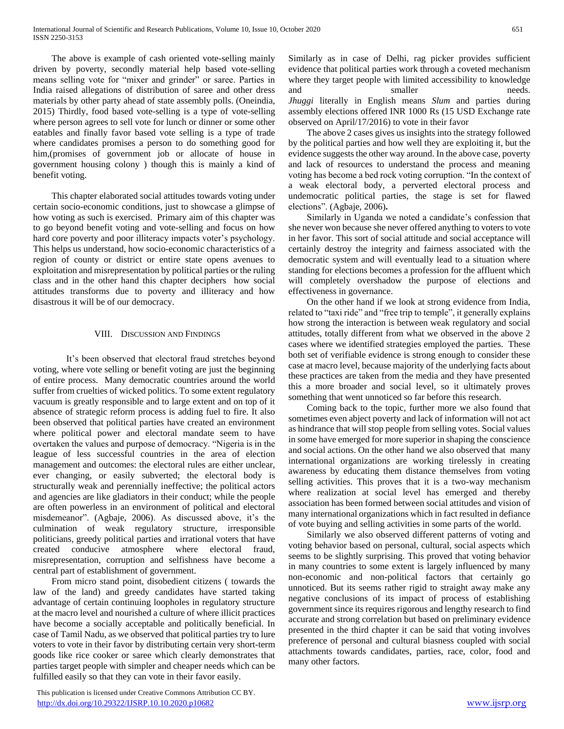The above is example of cash oriented vote-selling mainly driven by poverty, secondly material help based vote-selling means selling vote for "mixer and grinder" or saree. Parties in India raised allegations of distribution of saree and other dress materials by other party ahead of state assembly polls. (Oneindia, 2015) Thirdly, food based vote-selling is a type of vote-selling where person agrees to sell vote for lunch or dinner or some other eatables and finally favor based vote selling is a type of trade where candidates promises a person to do something good for him,(promises of government job or allocate of house in government housing colony ) though this is mainly a kind of benefit voting.

 This chapter elaborated social attitudes towards voting under certain socio-economic conditions, just to showcase a glimpse of how voting as such is exercised. Primary aim of this chapter was to go beyond benefit voting and vote-selling and focus on how hard core poverty and poor illiteracy impacts voter's psychology. This helps us understand, how socio-economic characteristics of a region of county or district or entire state opens avenues to exploitation and misrepresentation by political parties or the ruling class and in the other hand this chapter deciphers how social attitudes transforms due to poverty and illiteracy and how disastrous it will be of our democracy.

# VIII. DISCUSSION AND FINDINGS

It's been observed that electoral fraud stretches beyond voting, where vote selling or benefit voting are just the beginning of entire process. Many democratic countries around the world suffer from cruelties of wicked politics. To some extent regulatory vacuum is greatly responsible and to large extent and on top of it absence of strategic reform process is adding fuel to fire. It also been observed that political parties have created an environment where political power and electoral mandate seem to have overtaken the values and purpose of democracy. "Nigeria is in the league of less successful countries in the area of election management and outcomes: the electoral rules are either unclear, ever changing, or easily subverted; the electoral body is structurally weak and perennially ineffective; the political actors and agencies are like gladiators in their conduct; while the people are often powerless in an environment of political and electoral misdemeanor". (Agbaje, 2006). As discussed above, it's the culmination of weak regulatory structure, irresponsible politicians, greedy political parties and irrational voters that have created conducive atmosphere where electoral fraud, misrepresentation, corruption and selfishness have become a central part of establishment of government.

 From micro stand point, disobedient citizens ( towards the law of the land) and greedy candidates have started taking advantage of certain continuing loopholes in regulatory structure at the macro level and nourished a culture of where illicit practices have become a socially acceptable and politically beneficial. In case of Tamil Nadu, as we observed that political parties try to lure voters to vote in their favor by distributing certain very short-term goods like rice cooker or saree which clearly demonstrates that parties target people with simpler and cheaper needs which can be fulfilled easily so that they can vote in their favor easily.

 This publication is licensed under Creative Commons Attribution CC BY. <http://dx.doi.org/10.29322/IJSRP.10.10.2020.p10682> [www.ijsrp.org](http://ijsrp.org/)

Similarly as in case of Delhi, rag picker provides sufficient evidence that political parties work through a coveted mechanism where they target people with limited accessibility to knowledge and smaller needs. *Jhuggi* literally in English means *Slum* and parties during assembly elections offered INR 1000 Rs (15 USD Exchange rate observed on April/17/2016) to vote in their favor

 The above 2 cases gives us insights into the strategy followed by the political parties and how well they are exploiting it, but the evidence suggests the other way around. In the above case, poverty and lack of resources to understand the process and meaning voting has become a bed rock voting corruption. "In the context of a weak electoral body, a perverted electoral process and undemocratic political parties, the stage is set for flawed elections". (Agbaje, 2006)**.** 

 Similarly in Uganda we noted a candidate's confession that she never won because she never offered anything to voters to vote in her favor. This sort of social attitude and social acceptance will certainly destroy the integrity and fairness associated with the democratic system and will eventually lead to a situation where standing for elections becomes a profession for the affluent which will completely overshadow the purpose of elections and effectiveness in governance.

 On the other hand if we look at strong evidence from India, related to "taxi ride" and "free trip to temple", it generally explains how strong the interaction is between weak regulatory and social attitudes, totally different from what we observed in the above 2 cases where we identified strategies employed the parties. These both set of verifiable evidence is strong enough to consider these case at macro level, because majority of the underlying facts about these practices are taken from the media and they have presented this a more broader and social level, so it ultimately proves something that went unnoticed so far before this research.

 Coming back to the topic, further more we also found that sometimes even abject poverty and lack of information will not act as hindrance that will stop people from selling votes. Social values in some have emerged for more superior in shaping the conscience and social actions. On the other hand we also observed that many international organizations are working tirelessly in creating awareness by educating them distance themselves from voting selling activities. This proves that it is a two-way mechanism where realization at social level has emerged and thereby association has been formed between social attitudes and vision of many international organizations which in fact resulted in defiance of vote buying and selling activities in some parts of the world.

 Similarly we also observed different patterns of voting and voting behavior based on personal, cultural, social aspects which seems to be slightly surprising. This proved that voting behavior in many countries to some extent is largely influenced by many non-economic and non-political factors that certainly go unnoticed. But its seems rather rigid to straight away make any negative conclusions of its impact of process of establishing government since its requires rigorous and lengthy research to find accurate and strong correlation but based on preliminary evidence presented in the third chapter it can be said that voting involves preference of personal and cultural biasness coupled with social attachments towards candidates, parties, race, color, food and many other factors.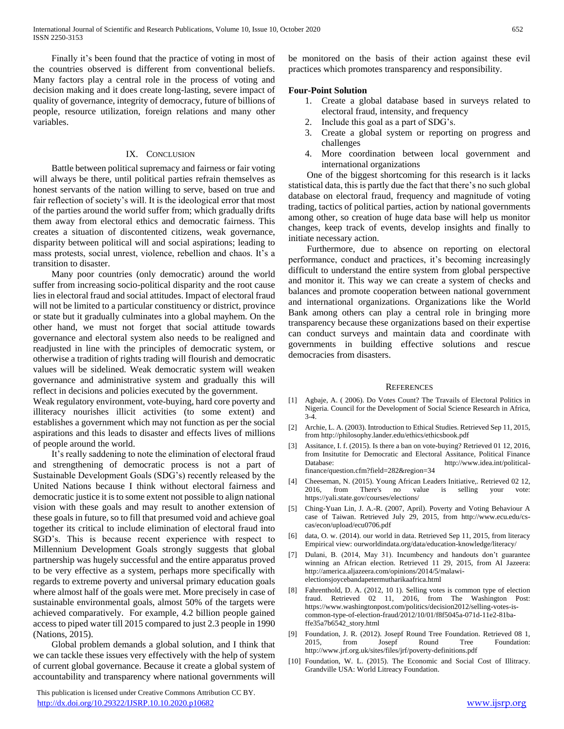Finally it's been found that the practice of voting in most of the countries observed is different from conventional beliefs. Many factors play a central role in the process of voting and decision making and it does create long-lasting, severe impact of quality of governance, integrity of democracy, future of billions of people, resource utilization, foreign relations and many other variables.

# IX. CONCLUSION

 Battle between political supremacy and fairness or fair voting will always be there, until political parties refrain themselves as honest servants of the nation willing to serve, based on true and fair reflection of society's will. It is the ideological error that most of the parties around the world suffer from; which gradually drifts them away from electoral ethics and democratic fairness. This creates a situation of discontented citizens, weak governance, disparity between political will and social aspirations; leading to mass protests, social unrest, violence, rebellion and chaos. It's a transition to disaster.

 Many poor countries (only democratic) around the world suffer from increasing socio-political disparity and the root cause lies in electoral fraud and social attitudes. Impact of electoral fraud will not be limited to a particular constituency or district, province or state but it gradually culminates into a global mayhem. On the other hand, we must not forget that social attitude towards governance and electoral system also needs to be realigned and readjusted in line with the principles of democratic system, or otherwise a tradition of rights trading will flourish and democratic values will be sidelined. Weak democratic system will weaken governance and administrative system and gradually this will reflect in decisions and policies executed by the government.

Weak regulatory environment, vote-buying, hard core poverty and illiteracy nourishes illicit activities (to some extent) and establishes a government which may not function as per the social aspirations and this leads to disaster and effects lives of millions of people around the world.

 It's really saddening to note the elimination of electoral fraud and strengthening of democratic process is not a part of Sustainable Development Goals (SDG's) recently released by the United Nations because I think without electoral fairness and democratic justice it is to some extent not possible to align national vision with these goals and may result to another extension of these goals in future, so to fill that presumed void and achieve goal together its critical to include elimination of electoral fraud into SGD's. This is because recent experience with respect to Millennium Development Goals strongly suggests that global partnership was hugely successful and the entire apparatus proved to be very effective as a system, perhaps more specifically with regards to extreme poverty and universal primary education goals where almost half of the goals were met. More precisely in case of sustainable environmental goals, almost 50% of the targets were achieved comparatively. For example, 4.2 billion people gained access to piped water till 2015 compared to just 2.3 people in 1990 (Nations, 2015).

 Global problem demands a global solution, and I think that we can tackle these issues very effectively with the help of system of current global governance. Because it create a global system of accountability and transparency where national governments will

 This publication is licensed under Creative Commons Attribution CC BY. <http://dx.doi.org/10.29322/IJSRP.10.10.2020.p10682> [www.ijsrp.org](http://ijsrp.org/)

be monitored on the basis of their action against these evil practices which promotes transparency and responsibility.

## **Four-Point Solution**

- 1. Create a global database based in surveys related to electoral fraud, intensity, and frequency
- 2. Include this goal as a part of SDG's.
- 3. Create a global system or reporting on progress and challenges
- 4. More coordination between local government and international organizations

 One of the biggest shortcoming for this research is it lacks statistical data, this is partly due the fact that there's no such global database on electoral fraud, frequency and magnitude of voting trading, tactics of political parties, action by national governments among other, so creation of huge data base will help us monitor changes, keep track of events, develop insights and finally to initiate necessary action.

 Furthermore, due to absence on reporting on electoral performance, conduct and practices, it's becoming increasingly difficult to understand the entire system from global perspective and monitor it. This way we can create a system of checks and balances and promote cooperation between national government and international organizations. Organizations like the World Bank among others can play a central role in bringing more transparency because these organizations based on their expertise can conduct surveys and maintain data and coordinate with governments in building effective solutions and rescue democracies from disasters.

### **REFERENCES**

- [1] Agbaje, A. ( 2006). Do Votes Count? The Travails of Electoral Politics in Nigeria. Council for the Development of Social Science Research in Africa, 3-4.
- [2] Archie, L. A. (2003). Introduction to Ethical Studies. Retrieved Sep 11, 2015, from http://philosophy.lander.edu/ethics/ethicsbook.pdf
- [3] Assitance, I. f. (2015). Is there a ban on vote-buying? Retrieved 01 12, 2016, from Insitutite for Democratic and Electoral Assitance, Political Finance Database: http://www.idea.int/politicalfinance/question.cfm?field=282&region=34
- [4] Cheeseman, N. (2015). Young African Leaders Initiative,. Retrieved 02 12, 2016, from There's no value is selling your vote: https://yali.state.gov/courses/elections/
- [5] Ching-Yuan Lin, J. A.-R. (2007, April). Poverty and Voting Behaviour A case of Taiwan. Retrieved July 29, 2015, from http://www.ecu.edu/cscas/econ/upload/ecu0706.pdf
- [6] data, O. w. (2014). our world in data. Retrieved Sep 11, 2015, from literacy Empirical view: ourworldindata.org/data/education-knowledge/literacy/
- [7] Dulani, B. (2014, May 31). Incumbency and handouts don't guarantee winning an African election. Retrieved 11 29, 2015, from Al Jazeera: http://america.aljazeera.com/opinions/2014/5/malawielectionsjoycebandapetermutharikaafrica.html
- Fahrenthold, D. A. (2012, 10 1). Selling votes is common type of election fraud. Retrieved 02 11, 2016, from The Washington Post: https://www.washingtonpost.com/politics/decision2012/selling-votes-iscommon-type-of-election-fraud/2012/10/01/f8f5045a-071d-11e2-81baffe35a7b6542\_story.html
- [9] Foundation, J. R. (2012). Josepf Round Tree Foundation. Retrieved 08 1, 2015, from Josepf Round Tree Foundation: http://www.jrf.org.uk/sites/files/jrf/poverty-definitions.pdf
- [10] Foundation, W. L. (2015). The Economic and Social Cost of Illitracy. Grandville USA: World Litreacy Foundation.